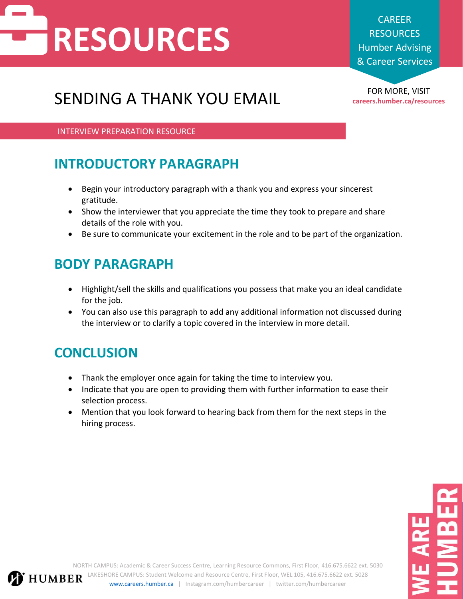# **RESOURCES**

CAREER **RESOURCES** Humber Advising & Career Services

## FOR MORE, VISIT SENDING A THANK YOU EMAIL **careers.humber.ca/resources**

INTERVIEW PREPARATION RESOURCE

### **INTRODUCTORY PARAGRAPH**

- Begin your introductory paragraph with a thank you and express your sincerest gratitude.
- Show the interviewer that you appreciate the time they took to prepare and share details of the role with you.
- Be sure to communicate your excitement in the role and to be part of the organization.

#### **BODY PARAGRAPH**

- Highlight/sell the skills and qualifications you possess that make you an ideal candidate for the job.
- You can also use this paragraph to add any additional information not discussed during the interview or to clarify a topic covered in the interview in more detail.

### **CONCLUSION**

- Thank the employer once again for taking the time to interview you.
- Indicate that you are open to providing them with further information to ease their selection process.
- Mention that you look forward to hearing back from them for the next steps in the hiring process.